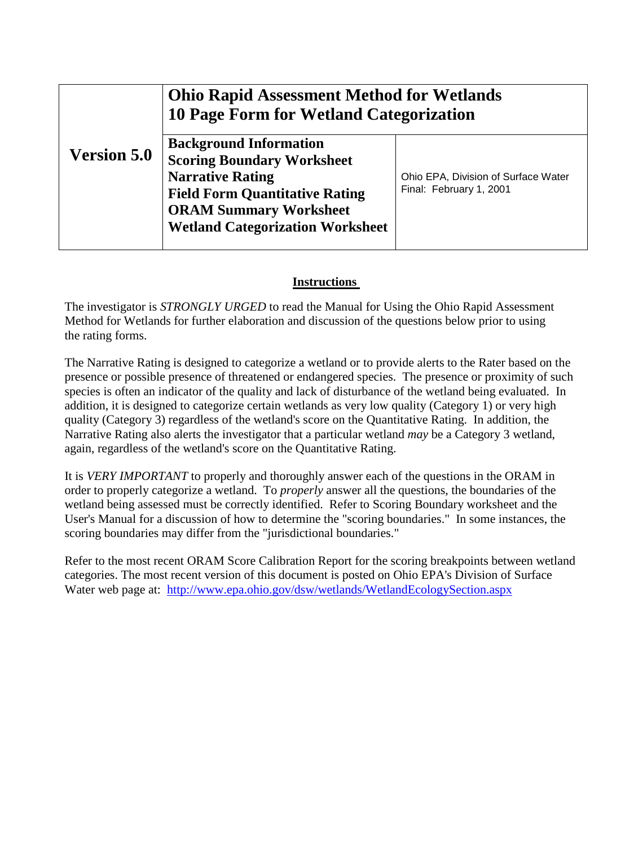|                    | <b>Ohio Rapid Assessment Method for Wetlands</b><br><b>10 Page Form for Wetland Categorization</b> |                                     |  |  |
|--------------------|----------------------------------------------------------------------------------------------------|-------------------------------------|--|--|
| <b>Version 5.0</b> | <b>Background Information</b><br><b>Scoring Boundary Worksheet</b>                                 |                                     |  |  |
|                    | <b>Narrative Rating</b>                                                                            | Ohio EPA, Division of Surface Water |  |  |
|                    | <b>Field Form Quantitative Rating</b>                                                              | Final: February 1, 2001             |  |  |
|                    | <b>ORAM Summary Worksheet</b><br><b>Wetland Categorization Worksheet</b>                           |                                     |  |  |
|                    |                                                                                                    |                                     |  |  |

#### **Instructions**

The investigator is *STRONGLY URGED* to read the Manual for Using the Ohio Rapid Assessment Method for Wetlands for further elaboration and discussion of the questions below prior to using the rating forms.

The Narrative Rating is designed to categorize a wetland or to provide alerts to the Rater based on the presence or possible presence of threatened or endangered species. The presence or proximity of such species is often an indicator of the quality and lack of disturbance of the wetland being evaluated. In addition, it is designed to categorize certain wetlands as very low quality (Category 1) or very high quality (Category 3) regardless of the wetland's score on the Quantitative Rating. In addition, the Narrative Rating also alerts the investigator that a particular wetland *may* be a Category 3 wetland, again, regardless of the wetland's score on the Quantitative Rating.

It is *VERY IMPORTANT* to properly and thoroughly answer each of the questions in the ORAM in order to properly categorize a wetland. To *properly* answer all the questions, the boundaries of the wetland being assessed must be correctly identified. Refer to Scoring Boundary worksheet and the User's Manual for a discussion of how to determine the "scoring boundaries." In some instances, the scoring boundaries may differ from the "jurisdictional boundaries."

Refer to the most recent ORAM Score Calibration Report for the scoring breakpoints between wetland categories. The most recent version of this document is posted on Ohio EPA's Division of Surface Water web page at: <http://www.epa.ohio.gov/dsw/wetlands/WetlandEcologySection.aspx>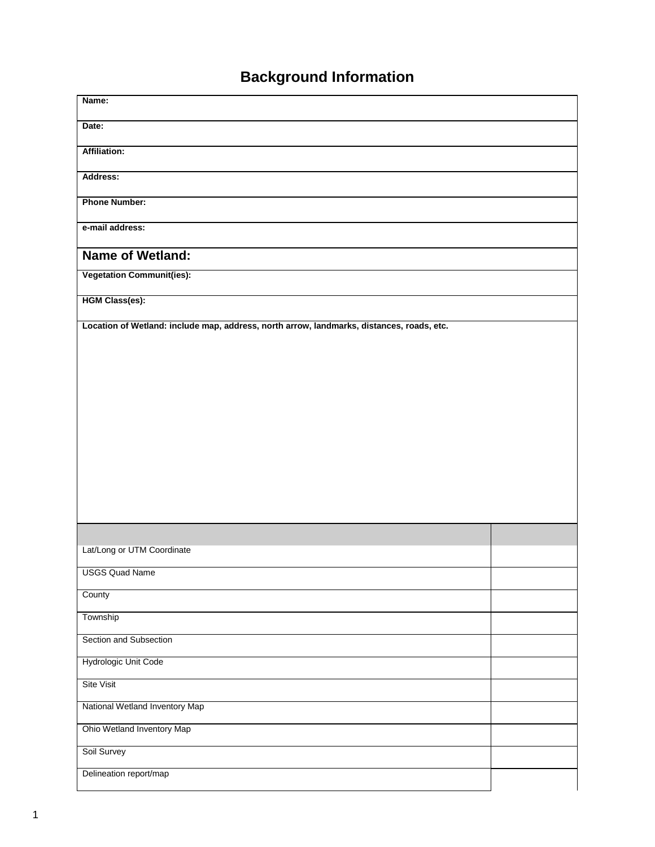# **Background Information**

| Name:                                                                                     |  |
|-------------------------------------------------------------------------------------------|--|
| Date:                                                                                     |  |
| Affiliation:                                                                              |  |
| Address:                                                                                  |  |
| <b>Phone Number:</b>                                                                      |  |
| e-mail address:                                                                           |  |
| <b>Name of Wetland:</b>                                                                   |  |
| <b>Vegetation Communit(ies):</b>                                                          |  |
| <b>HGM Class(es):</b>                                                                     |  |
| Location of Wetland: include map, address, north arrow, landmarks, distances, roads, etc. |  |
|                                                                                           |  |
|                                                                                           |  |
|                                                                                           |  |
|                                                                                           |  |
|                                                                                           |  |
|                                                                                           |  |
|                                                                                           |  |
|                                                                                           |  |
|                                                                                           |  |
| Lat/Long or UTM Coordinate                                                                |  |
| <b>USGS Quad Name</b>                                                                     |  |
| County                                                                                    |  |
| Township                                                                                  |  |
| Section and Subsection                                                                    |  |
| Hydrologic Unit Code                                                                      |  |
| Site Visit                                                                                |  |
| National Wetland Inventory Map                                                            |  |
| Ohio Wetland Inventory Map                                                                |  |
| Soil Survey                                                                               |  |
| Delineation report/map                                                                    |  |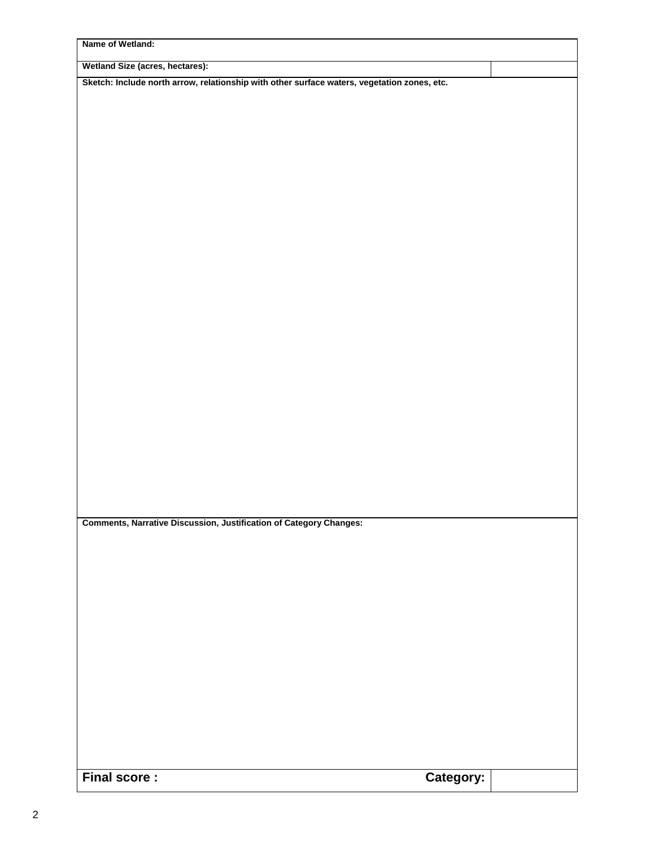| Name of Wetland:                                                                            |           |  |
|---------------------------------------------------------------------------------------------|-----------|--|
| Wetland Size (acres, hectares):                                                             |           |  |
| Sketch: Include north arrow, relationship with other surface waters, vegetation zones, etc. |           |  |
|                                                                                             |           |  |
|                                                                                             |           |  |
|                                                                                             |           |  |
|                                                                                             |           |  |
|                                                                                             |           |  |
|                                                                                             |           |  |
|                                                                                             |           |  |
|                                                                                             |           |  |
|                                                                                             |           |  |
|                                                                                             |           |  |
|                                                                                             |           |  |
|                                                                                             |           |  |
|                                                                                             |           |  |
|                                                                                             |           |  |
|                                                                                             |           |  |
|                                                                                             |           |  |
|                                                                                             |           |  |
|                                                                                             |           |  |
|                                                                                             |           |  |
|                                                                                             |           |  |
|                                                                                             |           |  |
|                                                                                             |           |  |
|                                                                                             |           |  |
| <b>Comments, Narrative Discussion, Justification of Category Changes:</b>                   |           |  |
|                                                                                             |           |  |
|                                                                                             |           |  |
|                                                                                             |           |  |
|                                                                                             |           |  |
|                                                                                             |           |  |
|                                                                                             |           |  |
|                                                                                             |           |  |
|                                                                                             |           |  |
|                                                                                             |           |  |
|                                                                                             |           |  |
|                                                                                             |           |  |
|                                                                                             |           |  |
|                                                                                             |           |  |
|                                                                                             |           |  |
| <b>Final score:</b>                                                                         | Category: |  |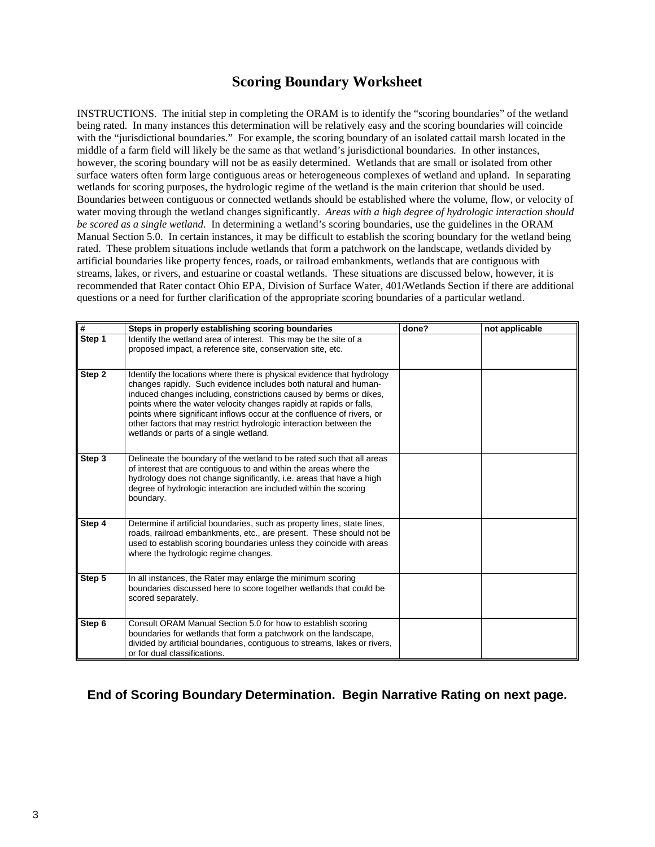#### **Scoring Boundary Worksheet**

INSTRUCTIONS. The initial step in completing the ORAM is to identify the "scoring boundaries" of the wetland being rated. In many instances this determination will be relatively easy and the scoring boundaries will coincide with the "jurisdictional boundaries." For example, the scoring boundary of an isolated cattail marsh located in the middle of a farm field will likely be the same as that wetland's jurisdictional boundaries. In other instances, however, the scoring boundary will not be as easily determined. Wetlands that are small or isolated from other surface waters often form large contiguous areas or heterogeneous complexes of wetland and upland.In separating wetlands for scoring purposes, the hydrologic regime of the wetland is the main criterion that should be used. Boundaries between contiguous or connected wetlands should be established where the volume, flow, or velocity of water moving through the wetland changes significantly. *Areas with a high degree of hydrologic interaction should be scored as a single wetland*. In determining a wetland's scoring boundaries, use the guidelines in the ORAM Manual Section 5.0. In certain instances, it may be difficult to establish the scoring boundary for the wetland being rated. These problem situations include wetlands that form a patchwork on the landscape, wetlands divided by artificial boundaries like property fences, roads, or railroad embankments, wetlands that are contiguous with streams, lakes, or rivers, and estuarine or coastal wetlands. These situations are discussed below, however, it is recommended that Rater contact Ohio EPA, Division of Surface Water, 401/Wetlands Section if there are additional questions or a need for further clarification of the appropriate scoring boundaries of a particular wetland.

| $\overline{\boldsymbol{t}}$ | Steps in properly establishing scoring boundaries                                                                                                                                                                                                                                                                                                                                                                                                                                | done? | not applicable |
|-----------------------------|----------------------------------------------------------------------------------------------------------------------------------------------------------------------------------------------------------------------------------------------------------------------------------------------------------------------------------------------------------------------------------------------------------------------------------------------------------------------------------|-------|----------------|
| Step 1                      | Identify the wetland area of interest. This may be the site of a<br>proposed impact, a reference site, conservation site, etc.                                                                                                                                                                                                                                                                                                                                                   |       |                |
| Step 2                      | Identify the locations where there is physical evidence that hydrology<br>changes rapidly. Such evidence includes both natural and human-<br>induced changes including, constrictions caused by berms or dikes,<br>points where the water velocity changes rapidly at rapids or falls,<br>points where significant inflows occur at the confluence of rivers, or<br>other factors that may restrict hydrologic interaction between the<br>wetlands or parts of a single wetland. |       |                |
| Step 3                      | Delineate the boundary of the wetland to be rated such that all areas<br>of interest that are contiguous to and within the areas where the<br>hydrology does not change significantly, i.e. areas that have a high<br>degree of hydrologic interaction are included within the scoring<br>boundary.                                                                                                                                                                              |       |                |
| Step 4                      | Determine if artificial boundaries, such as property lines, state lines,<br>roads, railroad embankments, etc., are present. These should not be<br>used to establish scoring boundaries unless they coincide with areas<br>where the hydrologic regime changes.                                                                                                                                                                                                                  |       |                |
| Step 5                      | In all instances, the Rater may enlarge the minimum scoring<br>boundaries discussed here to score together wetlands that could be<br>scored separately.                                                                                                                                                                                                                                                                                                                          |       |                |
| Step 6                      | Consult ORAM Manual Section 5.0 for how to establish scoring<br>boundaries for wetlands that form a patchwork on the landscape,<br>divided by artificial boundaries, contiguous to streams, lakes or rivers,<br>or for dual classifications.                                                                                                                                                                                                                                     |       |                |

**End of Scoring Boundary Determination. Begin Narrative Rating on next page.**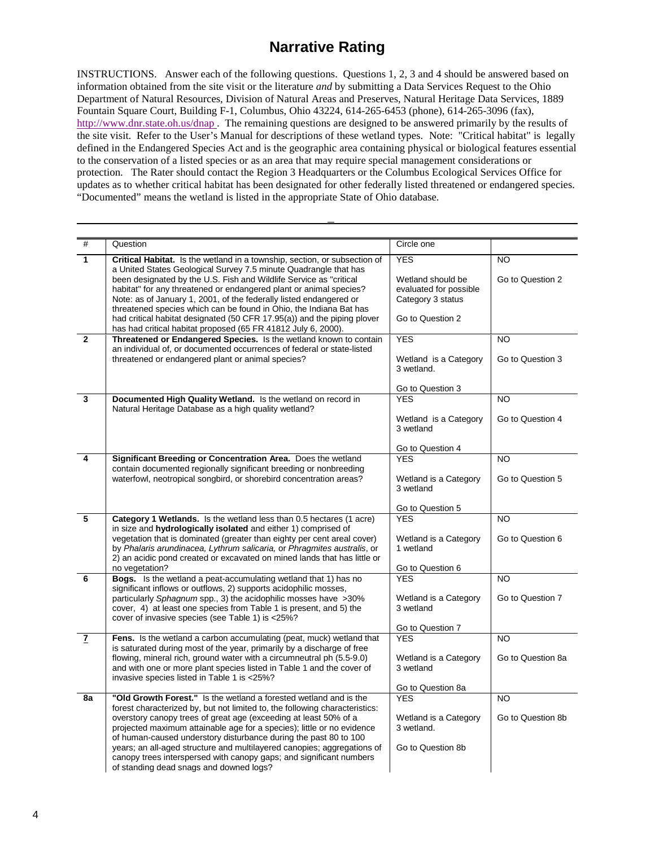### **Narrative Rating**

INSTRUCTIONS. Answer each of the following questions. Questions 1, 2, 3 and 4 should be answered based on information obtained from the site visit or the literature *and* by submitting a Data Services Request to the Ohio Department of Natural Resources, Division of Natural Areas and Preserves, Natural Heritage Data Services, 1889 Fountain Square Court, Building F-1, Columbus, Ohio 43224, 614-265-6453 (phone), 614-265-3096 (fax), <http://www.dnr.state.oh.us/dnap>. The remaining questions are designed to be answered primarily by the results of the site visit. Refer to the User's Manual for descriptions of these wetland types. Note: "Critical habitat" is legally defined in the Endangered Species Act and is the geographic area containing physical or biological features essential to the conservation of a listed species or as an area that may require special management considerations or protection. The Rater should contact the Region 3 Headquarters or the Columbus Ecological Services Office for updates as to whether critical habitat has been designated for other federally listed threatened or endangered species. "Documented" means the wetland is listed in the appropriate State of Ohio database.

| #                       | Question                                                                                                                                           | Circle one                                  |                   |
|-------------------------|----------------------------------------------------------------------------------------------------------------------------------------------------|---------------------------------------------|-------------------|
| 1                       | Critical Habitat. Is the wetland in a township, section, or subsection of                                                                          | <b>YES</b>                                  | <b>NO</b>         |
|                         | a United States Geological Survey 7.5 minute Quadrangle that has                                                                                   |                                             |                   |
|                         | been designated by the U.S. Fish and Wildlife Service as "critical<br>habitat" for any threatened or endangered plant or animal species?           | Wetland should be<br>evaluated for possible | Go to Question 2  |
|                         | Note: as of January 1, 2001, of the federally listed endangered or                                                                                 | Category 3 status                           |                   |
|                         | threatened species which can be found in Ohio, the Indiana Bat has                                                                                 |                                             |                   |
|                         | had critical habitat designated (50 CFR 17.95(a)) and the piping plover                                                                            | Go to Question 2                            |                   |
| $\overline{2}$          | has had critical habitat proposed (65 FR 41812 July 6, 2000).<br>Threatened or Endangered Species. Is the wetland known to contain                 | <b>YES</b>                                  | <b>NO</b>         |
|                         | an individual of, or documented occurrences of federal or state-listed                                                                             |                                             |                   |
|                         | threatened or endangered plant or animal species?                                                                                                  | Wetland is a Category                       | Go to Question 3  |
|                         |                                                                                                                                                    | 3 wetland.                                  |                   |
|                         |                                                                                                                                                    | Go to Question 3                            |                   |
| 3                       | Documented High Quality Wetland. Is the wetland on record in                                                                                       | <b>YES</b>                                  | <b>NO</b>         |
|                         | Natural Heritage Database as a high quality wetland?                                                                                               | Wetland is a Category                       | Go to Question 4  |
|                         |                                                                                                                                                    | 3 wetland                                   |                   |
|                         |                                                                                                                                                    |                                             |                   |
|                         |                                                                                                                                                    | Go to Question 4<br><b>YES</b>              |                   |
| 4                       | Significant Breeding or Concentration Area. Does the wetland<br>contain documented regionally significant breeding or nonbreeding                  |                                             | <b>NO</b>         |
|                         | waterfowl, neotropical songbird, or shorebird concentration areas?                                                                                 | Wetland is a Category                       | Go to Question 5  |
|                         |                                                                                                                                                    | 3 wetland                                   |                   |
|                         |                                                                                                                                                    | Go to Question 5                            |                   |
| $\overline{\mathbf{5}}$ | <b>Category 1 Wetlands.</b> Is the wetland less than 0.5 hectares (1 acre)                                                                         | <b>YES</b>                                  | <b>NO</b>         |
|                         | in size and hydrologically isolated and either 1) comprised of                                                                                     |                                             |                   |
|                         | vegetation that is dominated (greater than eighty per cent areal cover)<br>by Phalaris arundinacea, Lythrum salicaria, or Phragmites australis, or | Wetland is a Category<br>1 wetland          | Go to Question 6  |
|                         | 2) an acidic pond created or excavated on mined lands that has little or                                                                           |                                             |                   |
|                         | no vegetation?                                                                                                                                     | Go to Question 6                            |                   |
| 6                       | Bogs. Is the wetland a peat-accumulating wetland that 1) has no                                                                                    | <b>YES</b>                                  | <b>NO</b>         |
|                         | significant inflows or outflows, 2) supports acidophilic mosses,<br>particularly Sphagnum spp., 3) the acidophilic mosses have >30%                | Wetland is a Category                       | Go to Question 7  |
|                         | cover, 4) at least one species from Table 1 is present, and 5) the                                                                                 | 3 wetland                                   |                   |
|                         | cover of invasive species (see Table 1) is <25%?                                                                                                   |                                             |                   |
| $\overline{I}$          | Fens. Is the wetland a carbon accumulating (peat, muck) wetland that                                                                               | Go to Question 7<br><b>YES</b>              | <b>NO</b>         |
|                         | is saturated during most of the year, primarily by a discharge of free                                                                             |                                             |                   |
|                         | flowing, mineral rich, ground water with a circumneutral ph (5.5-9.0)                                                                              | Wetland is a Category                       | Go to Question 8a |
|                         | and with one or more plant species listed in Table 1 and the cover of                                                                              | 3 wetland                                   |                   |
|                         | invasive species listed in Table 1 is <25%?                                                                                                        | Go to Question 8a                           |                   |
| 8a                      | "Old Growth Forest." Is the wetland a forested wetland and is the                                                                                  | <b>YES</b>                                  | NO.               |
|                         | forest characterized by, but not limited to, the following characteristics:                                                                        |                                             |                   |
|                         | overstory canopy trees of great age (exceeding at least 50% of a<br>projected maximum attainable age for a species); little or no evidence         | Wetland is a Category<br>3 wetland.         | Go to Question 8b |
|                         | of human-caused understory disturbance during the past 80 to 100                                                                                   |                                             |                   |
|                         | years; an all-aged structure and multilayered canopies; aggregations of                                                                            | Go to Question 8b                           |                   |
|                         | canopy trees interspersed with canopy gaps; and significant numbers                                                                                |                                             |                   |
|                         | of standing dead snags and downed logs?                                                                                                            |                                             |                   |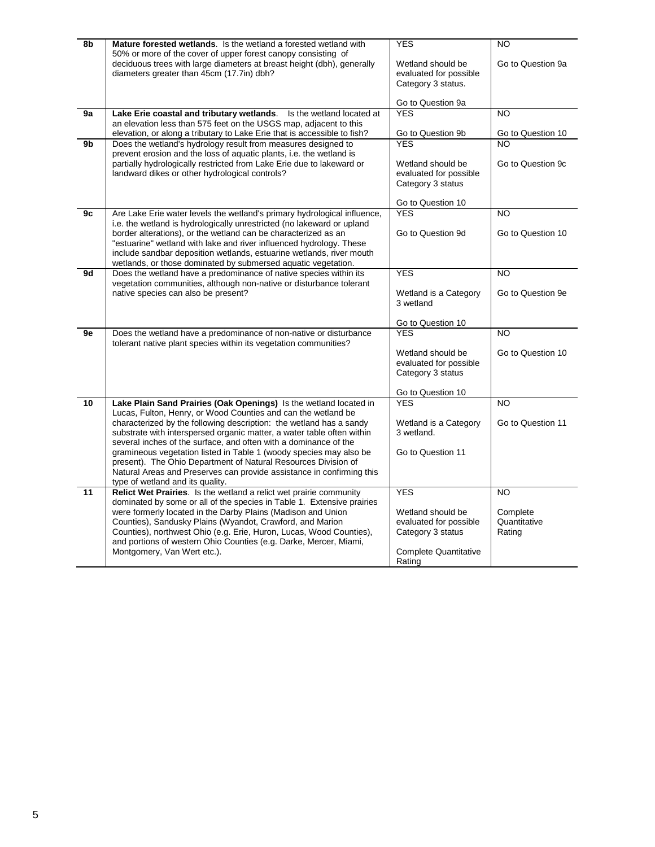| 8b | <b>Mature forested wetlands.</b> Is the wetland a forested wetland with                                                                                                                                                                                                                                                                                                                                                                                                                             | <b>YES</b>                                                                                                 | <b>NO</b>                          |
|----|-----------------------------------------------------------------------------------------------------------------------------------------------------------------------------------------------------------------------------------------------------------------------------------------------------------------------------------------------------------------------------------------------------------------------------------------------------------------------------------------------------|------------------------------------------------------------------------------------------------------------|------------------------------------|
|    | 50% or more of the cover of upper forest canopy consisting of<br>deciduous trees with large diameters at breast height (dbh), generally<br>Wetland should be<br>diameters greater than 45cm (17.7in) dbh?<br>evaluated for possible<br>Category 3 status.                                                                                                                                                                                                                                           |                                                                                                            | Go to Question 9a                  |
|    |                                                                                                                                                                                                                                                                                                                                                                                                                                                                                                     | Go to Question 9a                                                                                          |                                    |
| 9a | Lake Erie coastal and tributary wetlands. Is the wetland located at                                                                                                                                                                                                                                                                                                                                                                                                                                 | <b>YES</b>                                                                                                 | $\overline{10}$                    |
|    | an elevation less than 575 feet on the USGS map, adjacent to this<br>elevation, or along a tributary to Lake Erie that is accessible to fish?                                                                                                                                                                                                                                                                                                                                                       | Go to Question 9b                                                                                          | Go to Question 10                  |
| 9b | Does the wetland's hydrology result from measures designed to                                                                                                                                                                                                                                                                                                                                                                                                                                       | <b>YFS</b>                                                                                                 | NO                                 |
|    | prevent erosion and the loss of aquatic plants, i.e. the wetland is<br>partially hydrologically restricted from Lake Erie due to lakeward or<br>landward dikes or other hydrological controls?                                                                                                                                                                                                                                                                                                      | Wetland should be<br>evaluated for possible<br>Category 3 status                                           | Go to Question 9c                  |
|    |                                                                                                                                                                                                                                                                                                                                                                                                                                                                                                     | Go to Question 10                                                                                          |                                    |
| 9c | Are Lake Erie water levels the wetland's primary hydrological influence,                                                                                                                                                                                                                                                                                                                                                                                                                            | <b>YES</b>                                                                                                 | $\overline{NO}$                    |
|    | i.e. the wetland is hydrologically unrestricted (no lakeward or upland<br>border alterations), or the wetland can be characterized as an<br>"estuarine" wetland with lake and river influenced hydrology. These<br>include sandbar deposition wetlands, estuarine wetlands, river mouth<br>wetlands, or those dominated by submersed aquatic vegetation.                                                                                                                                            | Go to Question 9d                                                                                          | Go to Question 10                  |
| 9d | Does the wetland have a predominance of native species within its                                                                                                                                                                                                                                                                                                                                                                                                                                   | <b>YES</b>                                                                                                 | <b>NO</b>                          |
|    | vegetation communities, although non-native or disturbance tolerant<br>native species can also be present?                                                                                                                                                                                                                                                                                                                                                                                          | Wetland is a Category<br>3 wetland                                                                         | Go to Question 9e                  |
|    |                                                                                                                                                                                                                                                                                                                                                                                                                                                                                                     | Go to Question 10                                                                                          |                                    |
| 9e | Does the wetland have a predominance of non-native or disturbance<br>tolerant native plant species within its vegetation communities?                                                                                                                                                                                                                                                                                                                                                               | <b>YES</b>                                                                                                 | <b>NO</b>                          |
|    |                                                                                                                                                                                                                                                                                                                                                                                                                                                                                                     | Wetland should be<br>evaluated for possible<br>Category 3 status                                           | Go to Question 10                  |
| 10 | Lake Plain Sand Prairies (Oak Openings) Is the wetland located in                                                                                                                                                                                                                                                                                                                                                                                                                                   | Go to Question 10<br><b>YES</b>                                                                            | <b>NO</b>                          |
|    | Lucas, Fulton, Henry, or Wood Counties and can the wetland be<br>characterized by the following description: the wetland has a sandy<br>substrate with interspersed organic matter, a water table often within<br>several inches of the surface, and often with a dominance of the<br>gramineous vegetation listed in Table 1 (woody species may also be<br>present). The Ohio Department of Natural Resources Division of<br>Natural Areas and Preserves can provide assistance in confirming this | Wetland is a Category<br>3 wetland.<br>Go to Question 11                                                   | Go to Question 11                  |
| 11 | type of wetland and its quality.<br>Relict Wet Prairies. Is the wetland a relict wet prairie community                                                                                                                                                                                                                                                                                                                                                                                              | <b>YES</b>                                                                                                 | <b>NO</b>                          |
|    | dominated by some or all of the species in Table 1. Extensive prairies<br>were formerly located in the Darby Plains (Madison and Union<br>Counties), Sandusky Plains (Wyandot, Crawford, and Marion<br>Counties), northwest Ohio (e.g. Erie, Huron, Lucas, Wood Counties),<br>and portions of western Ohio Counties (e.g. Darke, Mercer, Miami,<br>Montgomery, Van Wert etc.).                                                                                                                      | Wetland should be<br>evaluated for possible<br>Category 3 status<br><b>Complete Quantitative</b><br>Rating | Complete<br>Quantitative<br>Rating |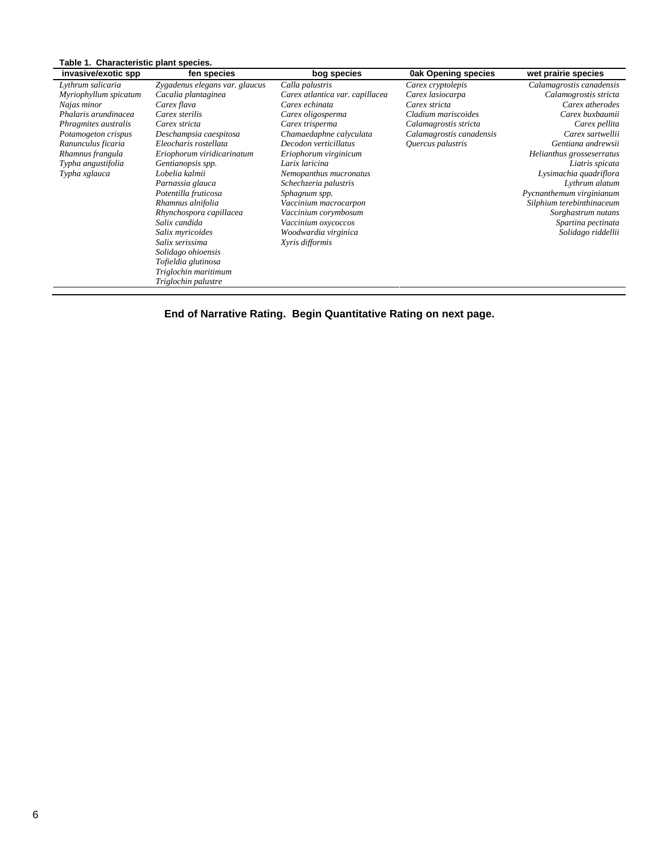| invasive/exotic spp   | fen species                    | bog species                     | <b>Oak Opening species</b> | wet prairie species       |
|-----------------------|--------------------------------|---------------------------------|----------------------------|---------------------------|
| Lythrum salicaria     | Zygadenus elegans var. glaucus | Calla palustris                 | Carex cryptolepis          | Calamagrostis canadensis  |
| Myriophyllum spicatum | Cacalia plantaginea            | Carex atlantica var. capillacea | Carex lasiocarpa           | Calamogrostis stricta     |
| Najas minor           | Carex flava                    | Carex echinata                  | Carex stricta              | Carex atherodes           |
| Phalaris arundinacea  | Carex sterilis                 | Carex oligosperma               | Cladium mariscoides        | Carex buxbaumii           |
| Phragmites australis  | Carex stricta                  | Carex trisperma                 | Calamagrostis stricta      | Carex pellita             |
| Potamogeton crispus   | Deschampsia caespitosa         | Chamaedaphne calyculata         | Calamagrostis canadensis   | Carex sartwellii          |
| Ranunculus ficaria    | Eleocharis rostellata          | Decodon verticillatus           | Quercus palustris          | Gentiana andrewsii        |
| Rhamnus frangula      | Eriophorum viridicarinatum     | Eriophorum virginicum           |                            | Helianthus grosseserratus |
| Typha angustifolia    | Gentianopsis spp.              | Larix laricina                  |                            | Liatris spicata           |
| Typha xglauca         | Lobelia kalmii                 | Nemopanthus mucronatus          |                            | Lysimachia quadriflora    |
|                       | Parnassia glauca               | Schechzeria palustris           |                            | Lythrum alatum            |
|                       | Potentilla fruticosa           | Sphagnum spp.                   |                            | Pycnanthemum virginianum  |
|                       | Rhamnus alnifolia              | Vaccinium macrocarpon           |                            | Silphium terebinthinaceum |
|                       | Rhynchospora capillacea        | Vaccinium corymbosum            |                            | Sorghastrum nutans        |
|                       | Salix candida                  | Vaccinium oxycoccos             |                            | Spartina pectinata        |
|                       | Salix myricoides               | Woodwardia virginica            |                            | Solidago riddellii        |
|                       | Salix serissima                | Xyris difformis                 |                            |                           |
|                       | Solidago ohioensis             |                                 |                            |                           |
|                       | Tofieldia glutinosa            |                                 |                            |                           |
|                       | Triglochin maritimum           |                                 |                            |                           |
|                       | Triglochin palustre            |                                 |                            |                           |

**End of Narrative Rating. Begin Quantitative Rating on next page.**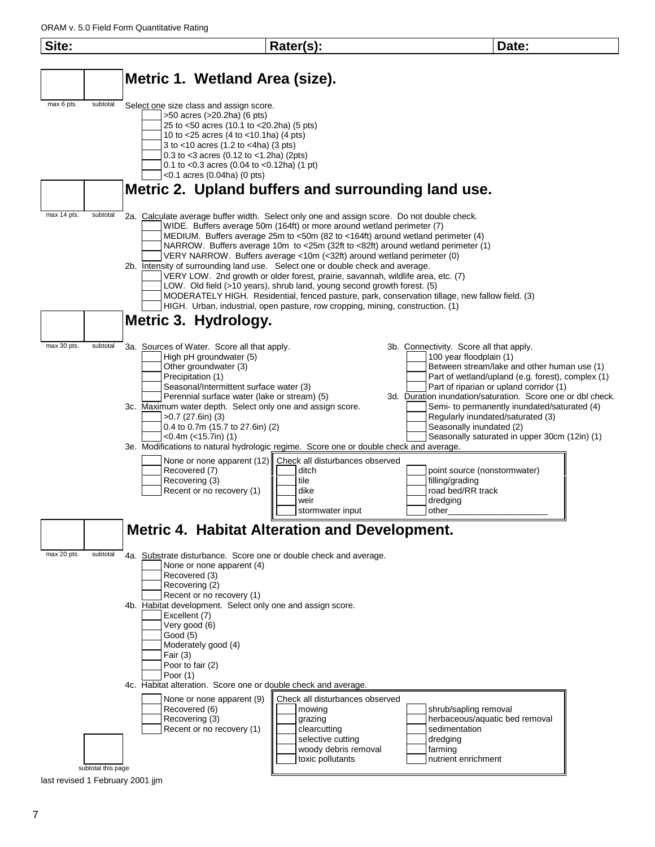

7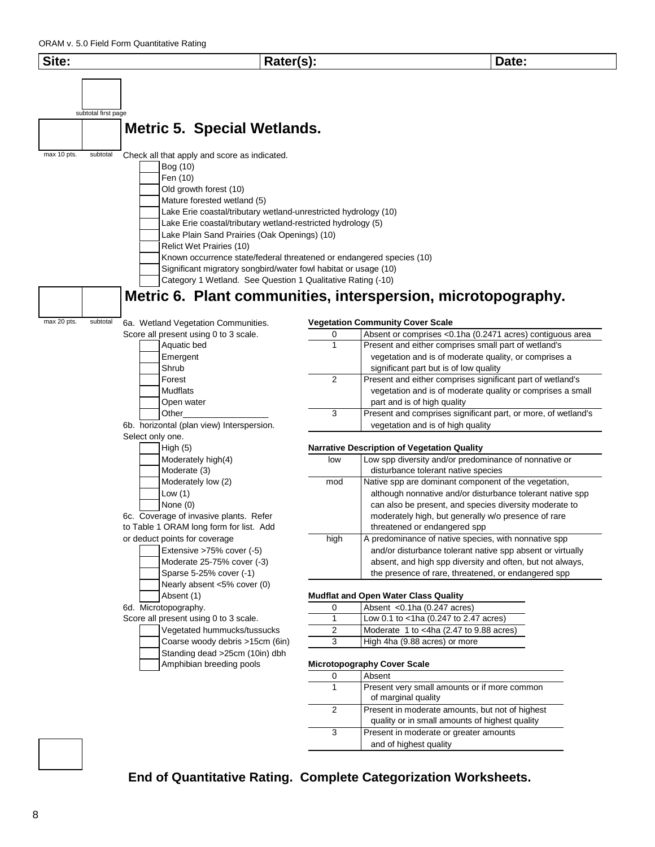

2 Present in moderate amounts, but not of highest quality or in small amounts of highest quality 3 Present in moderate or greater amounts and of highest quality

#### **End of Quantitative Rating. Complete Categorization Worksheets.**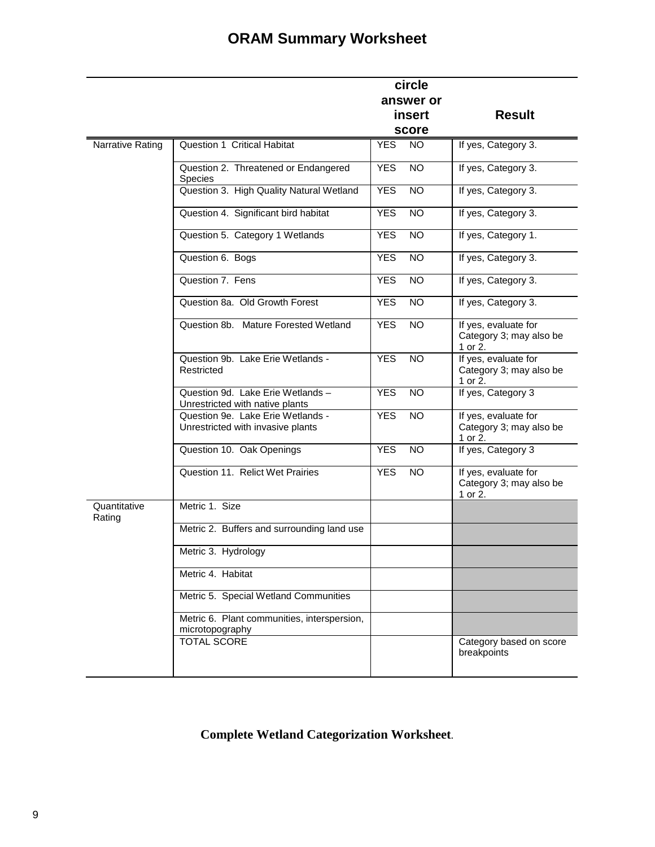## **ORAM Summary Worksheet**

|                        |                                                                        |            | circle          |                                                            |
|------------------------|------------------------------------------------------------------------|------------|-----------------|------------------------------------------------------------|
|                        |                                                                        |            | answer or       |                                                            |
|                        |                                                                        |            | <b>insert</b>   | <b>Result</b>                                              |
|                        |                                                                        |            | score           |                                                            |
| Narrative Rating       | Question 1 Critical Habitat                                            | <b>YES</b> | NO.             | If yes, Category 3.                                        |
|                        | Question 2. Threatened or Endangered<br><b>Species</b>                 | <b>YES</b> | <b>NO</b>       | If yes, Category 3.                                        |
|                        | Question 3. High Quality Natural Wetland                               | <b>YES</b> | <b>NO</b>       | If yes, Category 3.                                        |
|                        | Question 4. Significant bird habitat                                   | <b>YES</b> | NO.             | If yes, Category 3.                                        |
|                        | Question 5. Category 1 Wetlands                                        | <b>YES</b> | <b>NO</b>       | If yes, Category 1.                                        |
|                        | Question 6. Bogs                                                       | <b>YES</b> | <b>NO</b>       | If yes, Category 3.                                        |
|                        | Question 7. Fens                                                       | <b>YES</b> | $\overline{NO}$ | If yes, Category 3.                                        |
|                        | Question 8a. Old Growth Forest                                         | <b>YES</b> | <b>NO</b>       | If yes, Category 3.                                        |
|                        | Question 8b. Mature Forested Wetland                                   | <b>YES</b> | <b>NO</b>       | If yes, evaluate for<br>Category 3; may also be<br>1 or 2. |
|                        | Question 9b. Lake Erie Wetlands -<br>Restricted                        | <b>YES</b> | <b>NO</b>       | If yes, evaluate for<br>Category 3; may also be<br>1 or 2. |
|                        | Question 9d. Lake Erie Wetlands -<br>Unrestricted with native plants   | <b>YES</b> | <b>NO</b>       | If yes, Category 3                                         |
|                        | Question 9e. Lake Erie Wetlands -<br>Unrestricted with invasive plants | <b>YES</b> | <b>NO</b>       | If yes, evaluate for<br>Category 3; may also be<br>1 or 2. |
|                        | Question 10. Oak Openings                                              | <b>YES</b> | <b>NO</b>       | If yes, Category 3                                         |
|                        | Question 11. Relict Wet Prairies                                       | <b>YES</b> | <b>NO</b>       | If yes, evaluate for<br>Category 3; may also be<br>1 or 2. |
| Quantitative<br>Rating | Metric 1. Size                                                         |            |                 |                                                            |
|                        | Metric 2. Buffers and surrounding land use                             |            |                 |                                                            |
|                        | Metric 3. Hydrology                                                    |            |                 |                                                            |
|                        | Metric 4. Habitat                                                      |            |                 |                                                            |
|                        | Metric 5. Special Wetland Communities                                  |            |                 |                                                            |
|                        | Metric 6. Plant communities, interspersion,<br>microtopography         |            |                 |                                                            |
|                        | <b>TOTAL SCORE</b>                                                     |            |                 | Category based on score<br>breakpoints                     |

**Complete Wetland Categorization Worksheet**.